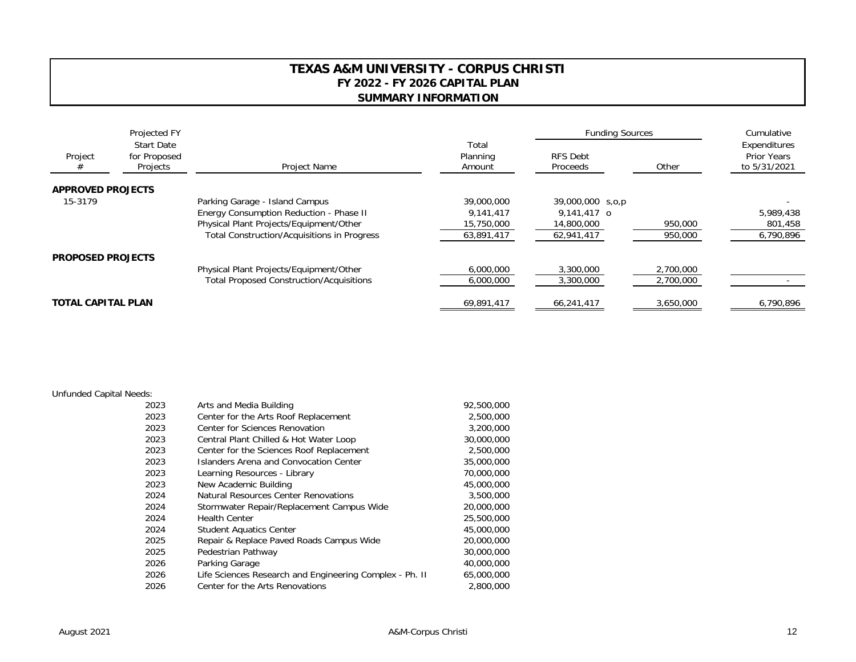## **TEXAS A&M UNIVERSITY - CORPUS CHRISTI FY 2022 - FY 2026 CAPITAL PLAN SUMMARY INFORMATION**

| Project<br>#              | Projected FY<br><b>Start Date</b><br>for Proposed<br>Projects | Project Name                                       |                             | <b>Funding Sources</b>      |           | Cumulative                                  |
|---------------------------|---------------------------------------------------------------|----------------------------------------------------|-----------------------------|-----------------------------|-----------|---------------------------------------------|
|                           |                                                               |                                                    | Total<br>Planning<br>Amount | <b>RFS Debt</b><br>Proceeds | Other     | Expenditures<br>Prior Years<br>to 5/31/2021 |
| <b>APPROVED PROJECTS</b>  |                                                               |                                                    |                             |                             |           |                                             |
| 15-3179                   |                                                               | Parking Garage - Island Campus                     | 39,000,000                  | 39,000,000 s,o,p            |           |                                             |
|                           |                                                               | Energy Consumption Reduction - Phase II            | 9.141.417                   | $9.141.417$ o               |           | 5,989,438                                   |
|                           |                                                               | Physical Plant Projects/Equipment/Other            | 15,750,000                  | 14,800,000                  | 950,000   | 801,458                                     |
|                           |                                                               | <b>Total Construction/Acquisitions in Progress</b> | 63,891,417                  | 62,941,417                  | 950,000   | 6,790,896                                   |
| <b>PROPOSED PROJECTS</b>  |                                                               |                                                    |                             |                             |           |                                             |
|                           |                                                               | Physical Plant Projects/Equipment/Other            | 6,000,000                   | 3,300,000                   | 2,700,000 |                                             |
|                           |                                                               | <b>Total Proposed Construction/Acquisitions</b>    | 6,000,000                   | 3,300,000                   | 2,700,000 |                                             |
| <b>TOTAL CAPITAL PLAN</b> |                                                               |                                                    | 69,891,417                  | 66,241,417                  | 3,650,000 | 6,790,896                                   |

## Unfunded Capital Needs:

| 2023 | Arts and Media Building                                 | 92,500,000 |
|------|---------------------------------------------------------|------------|
| 2023 | Center for the Arts Roof Replacement                    | 2,500,000  |
| 2023 | Center for Sciences Renovation                          | 3,200,000  |
| 2023 | Central Plant Chilled & Hot Water Loop                  | 30,000,000 |
| 2023 | Center for the Sciences Roof Replacement                | 2,500,000  |
| 2023 | Islanders Arena and Convocation Center                  | 35,000,000 |
| 2023 | Learning Resources - Library                            | 70,000,000 |
| 2023 | New Academic Building                                   | 45,000,000 |
| 2024 | <b>Natural Resources Center Renovations</b>             | 3,500,000  |
| 2024 | Stormwater Repair/Replacement Campus Wide               | 20,000,000 |
| 2024 | <b>Health Center</b>                                    | 25,500,000 |
| 2024 | <b>Student Aquatics Center</b>                          | 45,000,000 |
| 2025 | Repair & Replace Paved Roads Campus Wide                | 20,000,000 |
| 2025 | Pedestrian Pathway                                      | 30,000,000 |
| 2026 | Parking Garage                                          | 40,000,000 |
| 2026 | Life Sciences Research and Engineering Complex - Ph. II | 65,000,000 |
| 2026 | Center for the Arts Renovations                         | 2,800,000  |